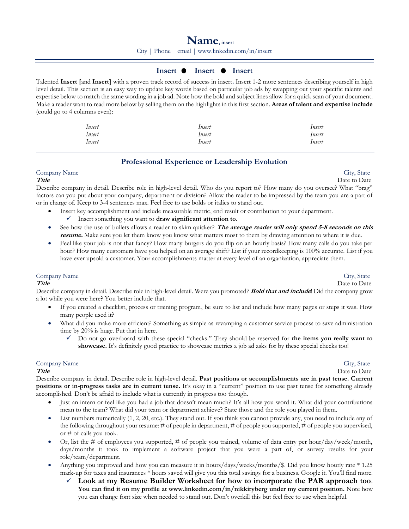City | Phone | email | [www.linkedin.com/in/insert](http://www.linkedin.com/in/insert)

# **Insert • Insert • Insert**

Talented **Insert [**and **Insert]** with a proven track record of success in insert**.** Insert 1-2 more sentences describing yourself in high level detail. This section is an easy way to update key words based on particular job ads by swapping out your specific talents and expertise below to match the same wording in a job ad. Note how the bold and subject lines allow for a quick scan of your document. Make a reader want to read more below by selling them on the highlights in this first section. **Areas of talent and expertise include** (could go to 4 columns even):

| Insert | Insert | Insert |
|--------|--------|--------|
| Insert | Insert | Insert |
| Insert | Insert | Insert |

# **Professional Experience or Leadership Evolution**

Company Name City, State

**Title** Date to Date **Date D** 

Describe company in detail. Describe role in high-level detail. Who do you report to? How many do you oversee? What "brag" factors can you put about your company, department or division? Allow the reader to be impressed by the team you are a part of or in charge of. Keep to 3-4 sentences max. Feel free to use bolds or italics to stand out.

- Insert key accomplishment and include measurable metric, end result or contribution to your department.
	- ✓ Insert something you want to **draw significant attention to**.
- See how the use of bullets allows a reader to skim quicker? **The average reader will only spend 5-8 seconds on this resume.** Make sure you let them know you know what matters most to them by drawing attention to where it is due.
- Feel like your job is not that fancy? How many burgers do you flip on an hourly basis? How many calls do you take per hour? How many customers have you helped on an average shift? List if your recordkeeping is 100% accurate. List if you have ever upsold a customer. Your accomplishments matter at every level of an organization, appreciate them.

# Company Name City, State

## **Title** Date to Date **Date Date D**

Describe company in detail. Describe role in high-level detail. Were you promoted? **Bold that and include**! Did the company grow a lot while you were here? You better include that.

- If you created a checklist, process or training program, be sure to list and include how many pages or steps it was. How many people used it?
- What did you make more efficient? Something as simple as revamping a customer service process to save administration time by 20% is huge. Put that in here.
	- ✓ Do not go overboard with these special "checks." They should be reserved for **the items you really want to showcase.** It's definitely good practice to showcase metrics a job ad asks for by these special checks too!

# Company Name City, State

**Title** Date to Date **Date Date D** Describe company in detail. Describe role in high-level detail. **Past positions or accomplishments are in past tense. Current** 

**positions or in-progress tasks are in current tense.** It's okay in a "current" position to use past tense for something already accomplished. Don't be afraid to include what is currently in progress too though.

- Just an intern or feel like you had a job that doesn't mean much? It's all how you word it. What did your contributions mean to the team? What did your team or department achieve? State those and the role you played in them.
- List numbers numerically (1, 2, 20, etc.). They stand out. If you think you cannot provide any, you need to include any of the following throughout your resume: # of people in department, # of people you supported, # of people you supervised, or # of calls you took.
- Or, list the # of employees you supported, # of people you trained, volume of data entry per hour/day/week/month, days/months it took to implement a software project that you were a part of, or survey results for your role/team/department.
- Anything you improved and how you can measure it in hours/days/weeks/months/\$. Did you know hourly rate \* 1.25 mark-up for taxes and insurances \* hours saved will give you this total savings for a business. Google it. You'll find more.
	- ✓ **Look at my Resume Builder Worksheet for how to incorporate the PAR approach too**. **You can find it on my profile at [www.linkedin.com/in/nikkiryberg](http://www.linkedin.com/in/nikkiryberg) under my current position.** Note how you can change font size when needed to stand out. Don't overkill this but feel free to use when helpful.